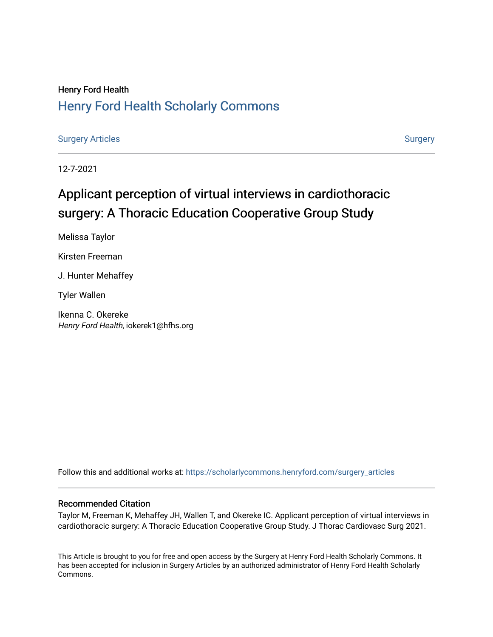# Henry Ford Health [Henry Ford Health Scholarly Commons](https://scholarlycommons.henryford.com/)

[Surgery Articles](https://scholarlycommons.henryford.com/surgery_articles) **[Surgery](https://scholarlycommons.henryford.com/surgery) Articles** Surgery

12-7-2021

# Applicant perception of virtual interviews in cardiothoracic surgery: A Thoracic Education Cooperative Group Study

Melissa Taylor

Kirsten Freeman

J. Hunter Mehaffey

Tyler Wallen

Ikenna C. Okereke Henry Ford Health, iokerek1@hfhs.org

Follow this and additional works at: [https://scholarlycommons.henryford.com/surgery\\_articles](https://scholarlycommons.henryford.com/surgery_articles?utm_source=scholarlycommons.henryford.com%2Fsurgery_articles%2F543&utm_medium=PDF&utm_campaign=PDFCoverPages)

# Recommended Citation

Taylor M, Freeman K, Mehaffey JH, Wallen T, and Okereke IC. Applicant perception of virtual interviews in cardiothoracic surgery: A Thoracic Education Cooperative Group Study. J Thorac Cardiovasc Surg 2021.

This Article is brought to you for free and open access by the Surgery at Henry Ford Health Scholarly Commons. It has been accepted for inclusion in Surgery Articles by an authorized administrator of Henry Ford Health Scholarly Commons.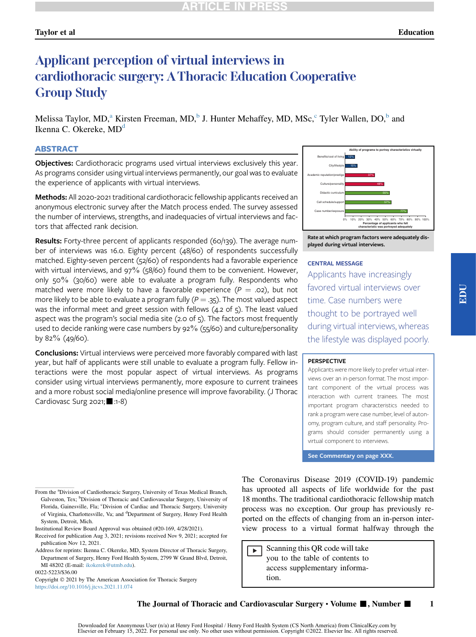# Taylor et al Education

# Applicant perception of virtual interviews in cardiothoracic surgery: AThoracic Education Cooperative Group Study

Melissa Taylor, MD,<sup>a</sup> Kirsten Freeman, MD,<sup>b</sup> J. Hunter Mehaffey, MD, MSc, Tyler Wallen, DO,<sup>b</sup> and Ikenna C. Okereke, MD<sup>d</sup>

### ABSTRACT

Objectives: Cardiothoracic programs used virtual interviews exclusively this year. As programs consider using virtual interviews permanently, our goal was to evaluate the experience of applicants with virtual interviews.

**Methods:** All 2020-2021 traditional cardiothoracic fellowship applicants received an anonymous electronic survey after the Match process ended. The survey assessed the number of interviews, strengths, and inadequacies of virtual interviews and factors that affected rank decision.

Results: Forty-three percent of applicants responded (60/139). The average number of interviews was 16.0. Eighty percent (48/60) of respondents successfully matched. Eighty-seven percent (52/60) of respondents had a favorable experience with virtual interviews, and 97% (58/60) found them to be convenient. However, only 50% (30/60) were able to evaluate a program fully. Respondents who matched were more likely to have a favorable experience ( $P = .02$ ), but not more likely to be able to evaluate a program fully  $(P = .35)$ . The most valued aspect was the informal meet and greet session with fellows (4.2 of 5). The least valued aspect was the program's social media site (2.0 of 5). The factors most frequently used to decide ranking were case numbers by 92% (55/60) and culture/personality by 82% (49/60).

**Conclusions:** Virtual interviews were perceived more favorably compared with last year, but half of applicants were still unable to evaluate a program fully. Fellow interactions were the most popular aspect of virtual interviews. As programs consider using virtual interviews permanently, more exposure to current trainees and a more robust social media/online presence will improve favorability. (J Thorac Cardiovasc Surg 2021; :1-8)



Rate at which program factors were adequately displayed during virtual interviews.

#### CENTRAL MESSAGE

Applicants have increasingly favored virtual interviews over time. Case numbers were thought to be portrayed well during virtual interviews, whereas the lifestyle was displayed poorly.

#### **PERSPECTIVE**

Applicants were more likely to prefer virtual interviews over an in-person format. The most important component of the virtual process was interaction with current trainees. The most important program characteristics needed to rank a program were case number, level of autonomy, program culture, and staff personality. Programs should consider permanently using a virtual component to interviews.

See Commentary on page XXX.

From the <sup>a</sup>Division of Cardiothoracic Surgery, University of Texas Medical Branch, Galveston, Tex; <sup>b</sup>Division of Thoracic and Cardiovascular Surgery, University of Florida, Gainesville, Fla; <sup>c</sup>Division of Cardiac and Thoracic Surgery, University of Virginia, Charlottesville, Va; and <sup>d</sup>Department of Surgery, Henry Ford Health System, Detroit, Mich.

0022-5223/\$36.00

Copyright  $@ 2021$  by The American Association for Thoracic Surgery <https://doi.org/10.1016/j.jtcvs.2021.11.074>

The Coronavirus Disease 2019 (COVID-19) pandemic has uprooted all aspects of life worldwide for the past 18 months. The traditional cardiothoracic fellowship match process was no exception. Our group has previously reported on the effects of changing from an in-person interview process to a virtual format halfway through the

Scanning this QR code will take  $\blacktriangleright$ you to the table of contents to access supplementary information.

The Journal of Thoracic and Cardiovascular Surgery  $\cdot$  Volume  $\blacksquare$ , Number  $\blacksquare$ 

Institutional Review Board Approval was obtained (#20-169, 4/28/2021).

Received for publication Aug 3, 2021; revisions received Nov 9, 2021; accepted for publication Nov 12, 2021.

Address for reprints: Ikenna C. Okereke, MD, System Director of Thoracic Surgery, Department of Surgery, Henry Ford Health System, 2799 W Grand Blvd, Detroit, MI 48202 (E-mail: [ikokerek@utmb.edu\)](mailto:ikokerek@utmb.edu).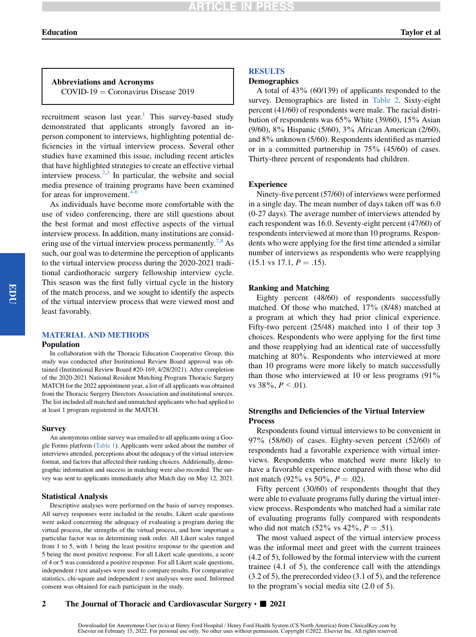# **ARTICLE IN PR**

# Abbreviations and Acronyms  $COVID-19 = Cononavirus Disease 2019$

recruitment season last year.<sup>[1](#page-7-0)</sup> This survey-based study demonstrated that applicants strongly favored an inperson component to interviews, highlighting potential deficiencies in the virtual interview process. Several other studies have examined this issue, including recent articles that have highlighted strategies to create an effective virtual interview process. $2,3$  $2,3$  In particular, the website and social media presence of training programs have been examined for areas for improvement.

As individuals have become more comfortable with the use of video conferencing, there are still questions about the best format and most effective aspects of the virtual interview process. In addition, many institutions are consid-ering use of the virtual interview process permanently.<sup>[7](#page-8-2),[8](#page-8-3)</sup> As such, our goal was to determine the perception of applicants to the virtual interview process during the 2020-2021 traditional cardiothoracic surgery fellowship interview cycle. This season was the first fully virtual cycle in the history of the match process, and we sought to identify the aspects of the virtual interview process that were viewed most and least favorably.

#### MATERIAL AND METHODS

#### Population

In collaboration with the Thoracic Education Cooperative Group, this study was conducted after Institutional Review Board approval was obtained (Institutional Review Board #20-169, 4/28/2021). After completion of the 2020-2021 National Resident Matching Program Thoracic Surgery MATCH for the 2022 appointment year, a list of all applicants was obtained from the Thoracic Surgery Directors Association and institutional sources. The list included all matched and unmatched applicants who had applied to at least 1 program registered in the MATCH.

#### Survey

An anonymous online survey was emailed to all applicants using a Google Forms platform ([Table 1\)](#page-3-0). Applicants were asked about the number of interviews attended, perceptions about the adequacy of the virtual interview format, and factors that affected their ranking choices. Additionally, demographic information and success in matching were also recorded. The survey was sent to applicants immediately after Match day on May 12, 2021.

#### Statistical Analysis

Descriptive analyses were performed on the basis of survey responses. All survey responses were included in the results. Likert scale questions were asked concerning the adequacy of evaluating a program during the virtual process, the strengths of the virtual process, and how important a particular factor was in determining rank order. All Likert scales ranged from 1 to 5, with 1 being the least positive response to the question and 5 being the most positive response. For all Likert scale questions, a score of 4 or 5 was considered a positive response. For all Likert scale questions, independent  $t$  test analyses were used to compare results. For comparative statistics, chi-square and independent  $t$  test analyses were used. Informed consent was obtained for each participant in the study.

### RESULTS

#### Demographics

A total of 43% (60/139) of applicants responded to the survey. Demographics are listed in [Table 2.](#page-4-0) Sixty-eight percent (41/60) of respondents were male. The racial distribution of respondents was 65% White (39/60), 15% Asian (9/60), 8% Hispanic (5/60), 3% African American (2/60), and 8% unknown (5/60). Respondents identified as married or in a committed partnership in 75% (45/60) of cases. Thirty-three percent of respondents had children.

#### Experience

Ninety-five percent (57/60) of interviews were performed in a single day. The mean number of days taken off was 6.0 (0-27 days). The average number of interviews attended by each respondent was 16.0. Seventy-eight percent (47/60) of respondents interviewed at more than 10 programs. Respondents who were applying for the first time attended a similar number of interviews as respondents who were reapplying  $(15.1 \text{ vs } 17.1, P = .15).$ 

#### Ranking and Matching

Eighty percent (48/60) of respondents successfully matched. Of those who matched, 17% (8/48) matched at a program at which they had prior clinical experience. Fifty-two percent (25/48) matched into 1 of their top 3 choices. Respondents who were applying for the first time and those reapplying had an identical rate of successfully matching at 80%. Respondents who interviewed at more than 10 programs were more likely to match successfully than those who interviewed at 10 or less programs (91% vs  $38\%, P < .01$ ).

# Strengths and Deficiencies of the Virtual Interview Process

Respondents found virtual interviews to be convenient in 97% (58/60) of cases. Eighty-seven percent (52/60) of respondents had a favorable experience with virtual interviews. Respondents who matched were more likely to have a favorable experience compared with those who did not match (92% vs 50%,  $P = .02$ ).

Fifty percent (30/60) of respondents thought that they were able to evaluate programs fully during the virtual interview process. Respondents who matched had a similar rate of evaluating programs fully compared with respondents who did not match  $(52\% \text{ vs } 42\%, P = .51)$ .

The most valued aspect of the virtual interview process was the informal meet and greet with the current trainees (4.2 of 5), followed by the formal interview with the current trainee (4.1 of 5), the conference call with the attendings (3.2 of 5), the prerecorded video (3.1 of 5), and the reference to the program's social media site (2.0 of 5).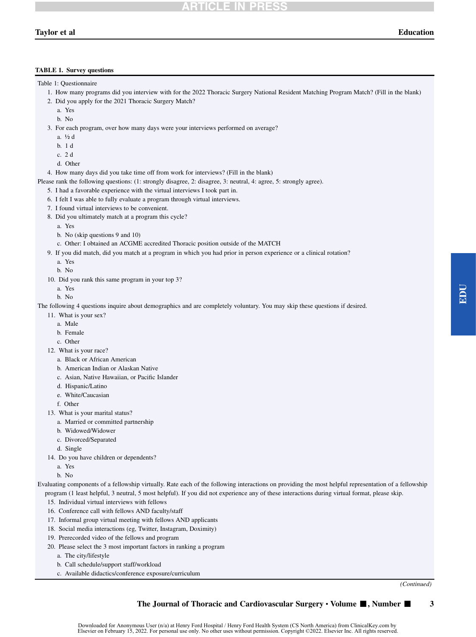# Taylor et al Education

#### <span id="page-3-0"></span>TABLE 1. Survey questions

Table 1: Questionnaire

- 1. How many programs did you interview with for the 2022 Thoracic Surgery National Resident Matching Program Match? (Fill in the blank)
- 2. Did you apply for the 2021 Thoracic Surgery Match?
	- a. Yes
	- b. No

3. For each program, over how many days were your interviews performed on average?

- a. ½ d
- b. 1 d
- c. 2 d
- d. Other

4. How many days did you take time off from work for interviews? (Fill in the blank)

Please rank the following questions: (1: strongly disagree, 2: disagree, 3: neutral, 4: agree, 5: strongly agree).

5. I had a favorable experience with the virtual interviews I took part in.

- 6. I felt I was able to fully evaluate a program through virtual interviews.
- 7. I found virtual interviews to be convenient.
- 8. Did you ultimately match at a program this cycle?
	- a. Yes
	- b. No (skip questions 9 and 10)
	- c. Other: I obtained an ACGME accredited Thoracic position outside of the MATCH
- 9. If you did match, did you match at a program in which you had prior in person experience or a clinical rotation?
	- a. Yes
	- b. No
- 10. Did you rank this same program in your top 3?
	- a. Yes
	- b. No

The following 4 questions inquire about demographics and are completely voluntary. You may skip these questions if desired.

- 11. What is your sex?
	- a. Male
	- b. Female
	- c. Other
- 12. What is your race?
	- a. Black or African American
	- b. American Indian or Alaskan Native
	- c. Asian, Native Hawaiian, or Pacific Islander
	- d. Hispanic/Latino
	- e. White/Caucasian
	- f. Other
- 13. What is your marital status?
	- a. Married or committed partnership
	- b. Widowed/Widower
	- c. Divorced/Separated
	- d. Single
- 14. Do you have children or dependents?
	- a. Yes
	- b. No

Evaluating components of a fellowship virtually. Rate each of the following interactions on providing the most helpful representation of a fellowship program (1 least helpful, 3 neutral, 5 most helpful). If you did not experience any of these interactions during virtual format, please skip.

- 15. Individual virtual interviews with fellows
- 16. Conference call with fellows AND faculty/staff
- 17. Informal group virtual meeting with fellows AND applicants
- 18. Social media interactions (eg, Twitter, Instagram, Doximity)
- 19. Prerecorded video of the fellows and program
- 20. Please select the 3 most important factors in ranking a program
	- a. The city/lifestyle
	- b. Call schedule/support staff/workload
	- c. Available didactics/conference exposure/curriculum

(Continued)

#### The Journal of Thoracic and Cardiovascular Surgery  $\cdot$  Volume  $\blacksquare$ , Number  $\blacksquare$  3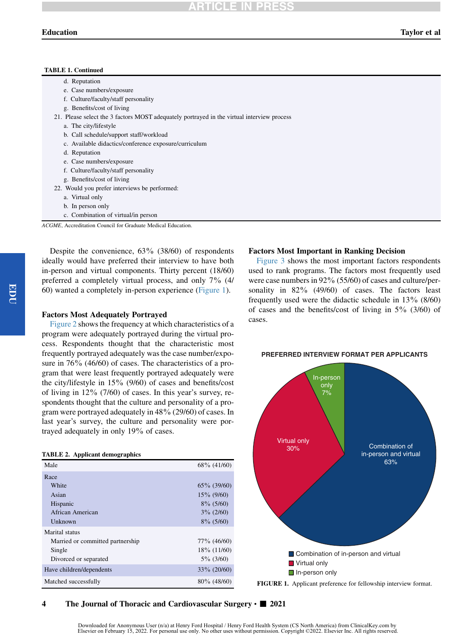#### TABLE 1. Continued

| d. Reputation                                                                              |
|--------------------------------------------------------------------------------------------|
| e. Case numbers/exposure                                                                   |
| f. Culture/faculty/staff personality                                                       |
| g. Benefits/cost of living                                                                 |
| 21. Please select the 3 factors MOST adequately portrayed in the virtual interview process |
| a. The city/lifestyle                                                                      |
| b. Call schedule/support staff/workload                                                    |
| c. Available didactics/conference exposure/curriculum                                      |
| d. Reputation                                                                              |
| e. Case numbers/exposure                                                                   |
| f. Culture/faculty/staff personality                                                       |
| g. Benefits/cost of living                                                                 |
| 22. Would you prefer interviews be performed:                                              |
| a. Virtual only                                                                            |
| b. In person only                                                                          |
| c. Combination of virtual/in person                                                        |
|                                                                                            |

ACGME, Accreditation Council for Graduate Medical Education.

Despite the convenience, 63% (38/60) of respondents ideally would have preferred their interview to have both in-person and virtual components. Thirty percent (18/60) preferred a completely virtual process, and only 7% (4/ 60) wanted a completely in-person experience ([Figure 1\)](#page-4-1).

### Factors Most Adequately Portrayed

[Figure 2](#page-5-0) shows the frequency at which characteristics of a program were adequately portrayed during the virtual process. Respondents thought that the characteristic most frequently portrayed adequately was the case number/exposure in 76% (46/60) of cases. The characteristics of a program that were least frequently portrayed adequately were the city/lifestyle in 15% (9/60) of cases and benefits/cost of living in 12% (7/60) of cases. In this year's survey, respondents thought that the culture and personality of a program were portrayed adequately in 48% (29/60) of cases. In last year's survey, the culture and personality were portrayed adequately in only 19% of cases.

#### <span id="page-4-0"></span>TABLE 2. Applicant demographics

| Male                             | $68\%$ (41/60) |
|----------------------------------|----------------|
| Race                             |                |
| White                            | $65\%$ (39/60) |
| Asian                            | $15\%$ (9/60)  |
| Hispanic                         | $8\%$ (5/60)   |
| African American                 | $3\%$ (2/60)   |
| Unknown                          | $8\%$ (5/60)   |
| Marital status                   |                |
| Married or committed partnership | $77\%$ (46/60) |
| Single                           | $18\%$ (11/60) |
| Divorced or separated            | $5\%$ (3/60)   |
| Have children/dependents         | $33\%$ (20/60) |
| Matched successfully             | $80\%$ (48/60) |

#### Factors Most Important in Ranking Decision

[Figure 3](#page-5-1) shows the most important factors respondents used to rank programs. The factors most frequently used were case numbers in 92% (55/60) of cases and culture/personality in 82% (49/60) of cases. The factors least frequently used were the didactic schedule in 13% (8/60) of cases and the benefits/cost of living in  $5\%$  (3/60) of cases.



#### <span id="page-4-1"></span>**PREFERRED INTERVIEW FORMAT PER APPLICANTS**

# 4 The Journal of Thoracic and Cardiovascular Surgery  $\cdot$   $\blacksquare$  2021

Downloaded for Anonymous User (n/a) at Henry Ford Hospital / Henry Ford Health System (CS North America) from ClinicalKey.com by Elsevier on February 15, 2022. For personal use only. No other uses without permission. Copyright ©2022. Elsevier Inc. All rights reserved.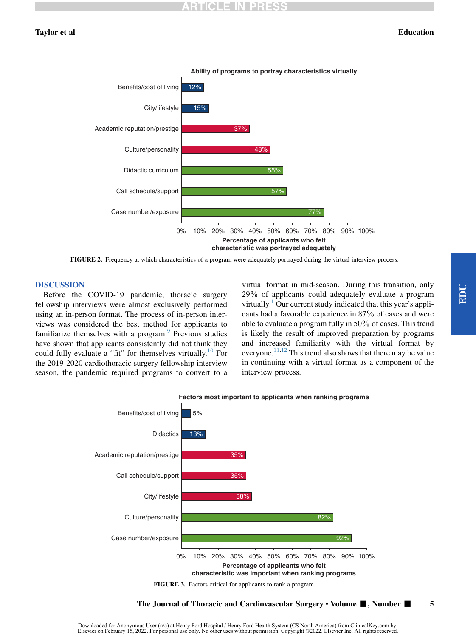<span id="page-5-0"></span>

FIGURE 2. Frequency at which characteristics of a program were adequately portrayed during the virtual interview process.

### DISCUSSION

Before the COVID-19 pandemic, thoracic surgery fellowship interviews were almost exclusively performed using an in-person format. The process of in-person interviews was considered the best method for applicants to familiarize themselves with a program.<sup>[9](#page-8-4)</sup> Previous studies have shown that applicants consistently did not think they could fully evaluate a "fit" for themselves virtually.<sup>[10](#page-8-5)</sup> For the 2019-2020 cardiothoracic surgery fellowship interview season, the pandemic required programs to convert to a

virtual format in mid-season. During this transition, only 29% of applicants could adequately evaluate a program virtually.<sup>[1](#page-7-0)</sup> Our current study indicated that this year's applicants had a favorable experience in 87% of cases and were able to evaluate a program fully in 50% of cases. This trend is likely the result of improved preparation by programs and increased familiarity with the virtual format by everyone.<sup>11,[12](#page-8-7)</sup> This trend also shows that there may be value in continuing with a virtual format as a component of the interview process.

<span id="page-5-1"></span>

FIGURE 3. Factors critical for applicants to rank a program.

# The Journal of Thoracic and Cardiovascular Surgery  $\cdot$  Volume  $\blacksquare$ , Number  $\blacksquare$  5

EDU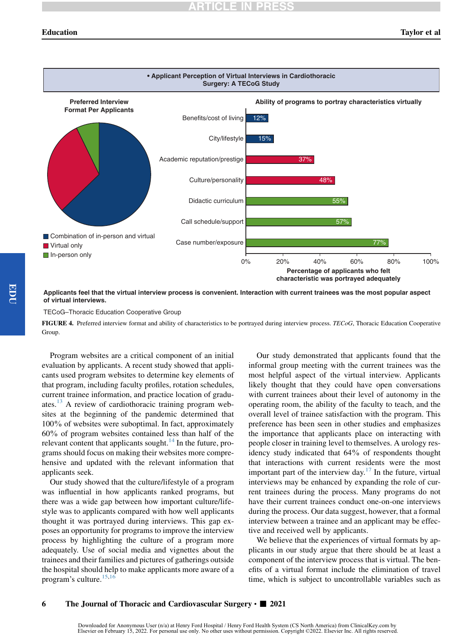<span id="page-6-0"></span>

**Applicants feel that the virtual interview process is convenient. Interaction with current trainees was the most popular aspect of virtual interviews.**

### TECoG–Thoracic Education Cooperative Group

FIGURE 4. Preferred interview format and ability of characteristics to be portrayed during interview process. TECoG, Thoracic Education Cooperative Group.

Program websites are a critical component of an initial evaluation by applicants. A recent study showed that applicants used program websites to determine key elements of that program, including faculty profiles, rotation schedules, current trainee information, and practice location of graduates. $^{13}$  $^{13}$  $^{13}$  A review of cardiothoracic training program websites at the beginning of the pandemic determined that 100% of websites were suboptimal. In fact, approximately 60% of program websites contained less than half of the relevant content that applicants sought.<sup>[14](#page-8-9)</sup> In the future, programs should focus on making their websites more comprehensive and updated with the relevant information that applicants seek.

Our study showed that the culture/lifestyle of a program was influential in how applicants ranked programs, but there was a wide gap between how important culture/lifestyle was to applicants compared with how well applicants thought it was portrayed during interviews. This gap exposes an opportunity for programs to improve the interview process by highlighting the culture of a program more adequately. Use of social media and vignettes about the trainees and their families and pictures of gatherings outside the hospital should help to make applicants more aware of a program's culture.<sup>15,[16](#page-8-11)</sup>

Our study demonstrated that applicants found that the informal group meeting with the current trainees was the most helpful aspect of the virtual interview. Applicants likely thought that they could have open conversations with current trainees about their level of autonomy in the operating room, the ability of the faculty to teach, and the overall level of trainee satisfaction with the program. This preference has been seen in other studies and emphasizes the importance that applicants place on interacting with people closer in training level to themselves. A urology residency study indicated that 64% of respondents thought that interactions with current residents were the most important part of the interview day. $17$  In the future, virtual interviews may be enhanced by expanding the role of current trainees during the process. Many programs do not have their current trainees conduct one-on-one interviews during the process. Our data suggest, however, that a formal interview between a trainee and an applicant may be effective and received well by applicants.

We believe that the experiences of virtual formats by applicants in our study argue that there should be at least a component of the interview process that is virtual. The benefits of a virtual format include the elimination of travel time, which is subject to uncontrollable variables such as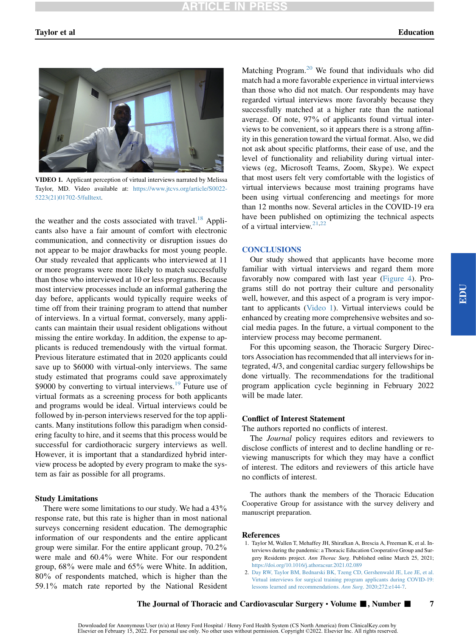<span id="page-7-2"></span>

VIDEO 1. Applicant perception of virtual interviews narrated by Melissa Taylor, MD. Video available at: [https://www.jtcvs.org/article/S0022-](https://www.jtcvs.org/article/S0022-5223(21)01702-5/fulltext) [5223\(21\)01702-5/fulltext](https://www.jtcvs.org/article/S0022-5223(21)01702-5/fulltext).

the weather and the costs associated with travel.<sup>[18](#page-8-13)</sup> Applicants also have a fair amount of comfort with electronic communication, and connectivity or disruption issues do not appear to be major drawbacks for most young people. Our study revealed that applicants who interviewed at 11 or more programs were more likely to match successfully than those who interviewed at 10 or less programs. Because most interview processes include an informal gathering the day before, applicants would typically require weeks of time off from their training program to attend that number of interviews. In a virtual format, conversely, many applicants can maintain their usual resident obligations without missing the entire workday. In addition, the expense to applicants is reduced tremendously with the virtual format. Previous literature estimated that in 2020 applicants could save up to \$6000 with virtual-only interviews. The same study estimated that programs could save approximately \$9000 by converting to virtual interviews.<sup>[19](#page-8-14)</sup> Future use of virtual formats as a screening process for both applicants and programs would be ideal. Virtual interviews could be followed by in-person interviews reserved for the top applicants. Many institutions follow this paradigm when considering faculty to hire, and it seems that this process would be successful for cardiothoracic surgery interviews as well. However, it is important that a standardized hybrid interview process be adopted by every program to make the system as fair as possible for all programs.

#### Study Limitations

There were some limitations to our study. We had a 43% response rate, but this rate is higher than in most national surveys concerning resident education. The demographic information of our respondents and the entire applicant group were similar. For the entire applicant group, 70.2% were male and 60.4% were White. For our respondent group, 68% were male and 65% were White. In addition, 80% of respondents matched, which is higher than the 59.1% match rate reported by the National Resident

Matching Program.<sup>[20](#page-8-15)</sup> We found that individuals who did match had a more favorable experience in virtual interviews than those who did not match. Our respondents may have regarded virtual interviews more favorably because they successfully matched at a higher rate than the national average. Of note, 97% of applicants found virtual interviews to be convenient, so it appears there is a strong affinity in this generation toward the virtual format. Also, we did not ask about specific platforms, their ease of use, and the level of functionality and reliability during virtual interviews (eg, Microsoft Teams, Zoom, Skype). We expect that most users felt very comfortable with the logistics of virtual interviews because most training programs have been using virtual conferencing and meetings for more than 12 months now. Several articles in the COVID-19 era have been published on optimizing the technical aspects of a virtual interview. $21,22$  $21,22$ 

# **CONCLUSIONS**

Our study showed that applicants have become more familiar with virtual interviews and regard them more favorably now compared with last year ([Figure 4](#page-6-0)). Programs still do not portray their culture and personality well, however, and this aspect of a program is very important to applicants ([Video 1\)](#page-7-2). Virtual interviews could be enhanced by creating more comprehensive websites and social media pages. In the future, a virtual component to the interview process may become permanent.

For this upcoming season, the Thoracic Surgery Directors Association has recommended that all interviews for integrated, 4/3, and congenital cardiac surgery fellowships be done virtually. The recommendations for the traditional program application cycle beginning in February 2022 will be made later.

#### Conflict of Interest Statement

The authors reported no conflicts of interest.

The *Journal* policy requires editors and reviewers to disclose conflicts of interest and to decline handling or reviewing manuscripts for which they may have a conflict of interest. The editors and reviewers of this article have no conflicts of interest.

The authors thank the members of the Thoracic Education Cooperative Group for assistance with the survey delivery and manuscript preparation.

#### <span id="page-7-0"></span>References

- 1. Taylor M, Wallen T, Mehaffey JH, Shirafkan A, Brescia A, Freeman K, et al. Interviews during the pandemic: a Thoracic Education Cooperative Group and Surgery Residents project. Ann Thorac Surg. Published online March 25, 2021; <https://doi.org/10.1016/j.athoracsur.2021.02.089>
- <span id="page-7-1"></span>2. [Day RW, Taylor BM, Bednarski BK, Tzeng CD, Gershenwald JE, Lee JE, et al.](http://refhub.elsevier.com/S0022-5223(21)01702-5/sref2) [Virtual interviews for surgical training program applicants during COVID-19:](http://refhub.elsevier.com/S0022-5223(21)01702-5/sref2) [lessons learned and recommendations.](http://refhub.elsevier.com/S0022-5223(21)01702-5/sref2) Ann Surg. 2020;272:e144-7.

The Journal of Thoracic and Cardiovascular Surgery  $\cdot$  Volume  $\blacksquare$ , Number  $\blacksquare$